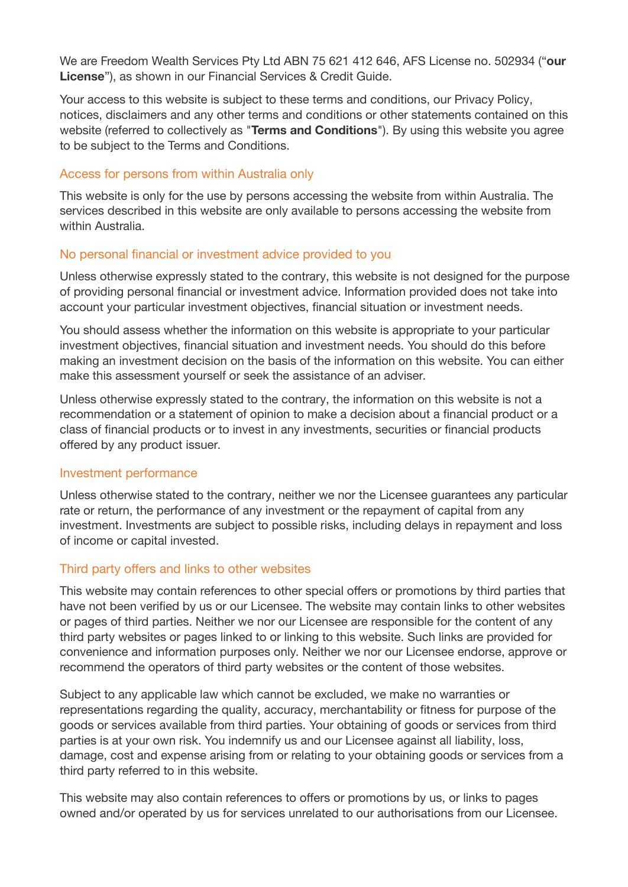We are Freedom Wealth Services Pty Ltd ABN 75 621 412 646, AFS License no. 502934 ("**our License**"), as shown in our Financial Services & Credit Guide.

Your access to this website is subject to these terms and conditions, our Privacy Policy, notices, disclaimers and any other terms and conditions or other statements contained on this website (referred to collectively as "**Terms and Conditions**"). By using this website you agree to be subject to the Terms and Conditions.

#### Access for persons from within Australia only

This website is only for the use by persons accessing the website from within Australia. The services described in this website are only available to persons accessing the website from within Australia.

#### No personal financial or investment advice provided to you

Unless otherwise expressly stated to the contrary, this website is not designed for the purpose of providing personal financial or investment advice. Information provided does not take into account your particular investment objectives, financial situation or investment needs.

You should assess whether the information on this website is appropriate to your particular investment objectives, financial situation and investment needs. You should do this before making an investment decision on the basis of the information on this website. You can either make this assessment yourself or seek the assistance of an adviser.

Unless otherwise expressly stated to the contrary, the information on this website is not a recommendation or a statement of opinion to make a decision about a financial product or a class of financial products or to invest in any investments, securities or financial products offered by any product issuer.

#### Investment performance

Unless otherwise stated to the contrary, neither we nor the Licensee guarantees any particular rate or return, the performance of any investment or the repayment of capital from any investment. Investments are subject to possible risks, including delays in repayment and loss of income or capital invested.

### Third party offers and links to other websites

This website may contain references to other special offers or promotions by third parties that have not been verified by us or our Licensee. The website may contain links to other websites or pages of third parties. Neither we nor our Licensee are responsible for the content of any third party websites or pages linked to or linking to this website. Such links are provided for convenience and information purposes only. Neither we nor our Licensee endorse, approve or recommend the operators of third party websites or the content of those websites.

Subject to any applicable law which cannot be excluded, we make no warranties or representations regarding the quality, accuracy, merchantability or fitness for purpose of the goods or services available from third parties. Your obtaining of goods or services from third parties is at your own risk. You indemnify us and our Licensee against all liability, loss, damage, cost and expense arising from or relating to your obtaining goods or services from a third party referred to in this website.

This website may also contain references to offers or promotions by us, or links to pages owned and/or operated by us for services unrelated to our authorisations from our Licensee.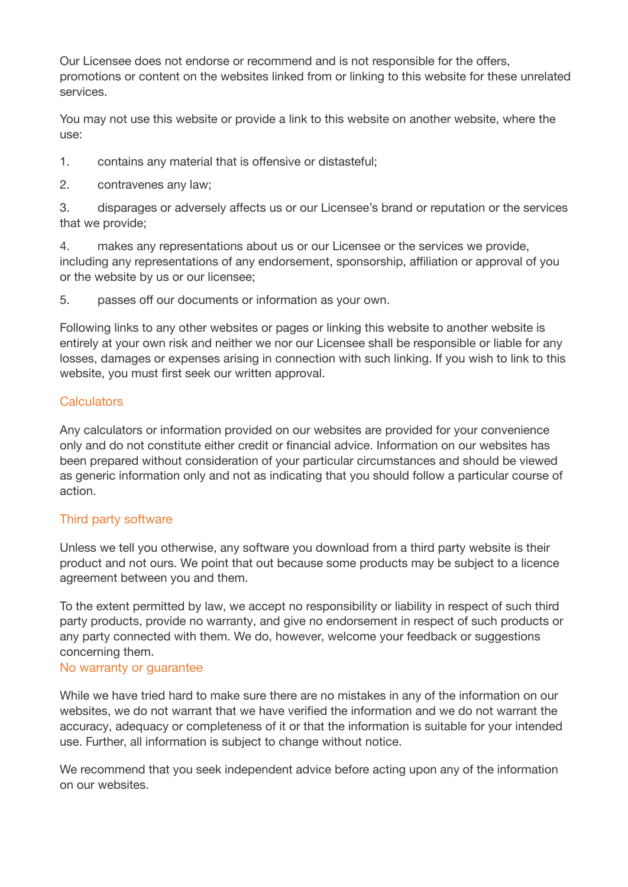Our Licensee does not endorse or recommend and is not responsible for the offers, promotions or content on the websites linked from or linking to this website for these unrelated services.

You may not use this website or provide a link to this website on another website, where the use:

- 1. contains any material that is offensive or distasteful;
- 2. contravenes any law;

3. disparages or adversely affects us or our Licensee's brand or reputation or the services that we provide;

4. makes any representations about us or our Licensee or the services we provide, including any representations of any endorsement, sponsorship, affiliation or approval of you or the website by us or our licensee;

5. passes off our documents or information as your own.

Following links to any other websites or pages or linking this website to another website is entirely at your own risk and neither we nor our Licensee shall be responsible or liable for any losses, damages or expenses arising in connection with such linking. If you wish to link to this website, you must first seek our written approval.

## **Calculators**

Any calculators or information provided on our websites are provided for your convenience only and do not constitute either credit or financial advice. Information on our websites has been prepared without consideration of your particular circumstances and should be viewed as generic information only and not as indicating that you should follow a particular course of action.

### Third party software

Unless we tell you otherwise, any software you download from a third party website is their product and not ours. We point that out because some products may be subject to a licence agreement between you and them.

To the extent permitted by law, we accept no responsibility or liability in respect of such third party products, provide no warranty, and give no endorsement in respect of such products or any party connected with them. We do, however, welcome your feedback or suggestions concerning them.

### No warranty or guarantee

While we have tried hard to make sure there are no mistakes in any of the information on our websites, we do not warrant that we have verified the information and we do not warrant the accuracy, adequacy or completeness of it or that the information is suitable for your intended use. Further, all information is subject to change without notice.

We recommend that you seek independent advice before acting upon any of the information on our websites.